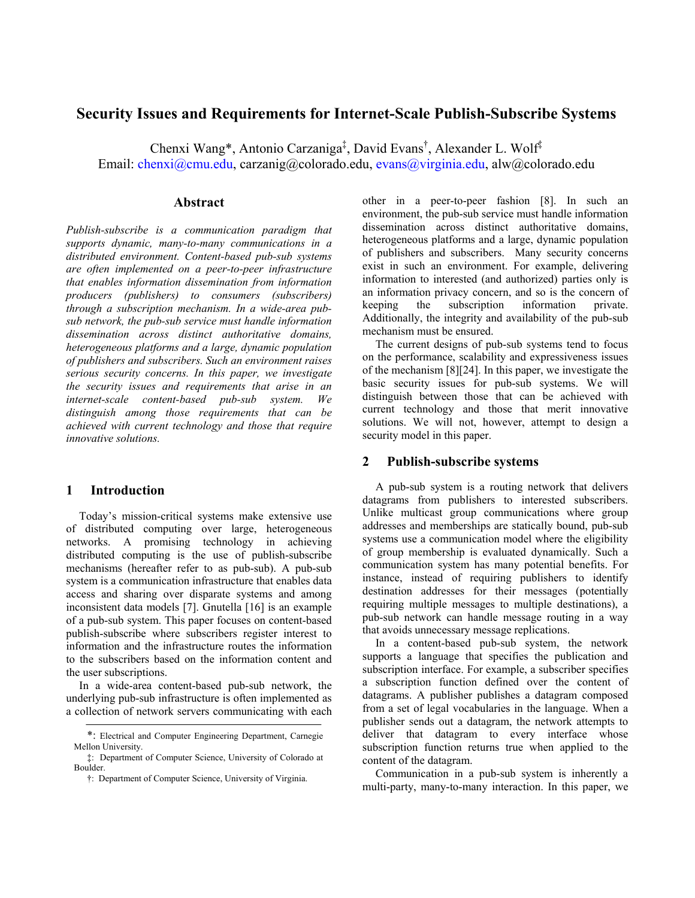# **Security Issues and Requirements for Internet-Scale Publish-Subscribe Systems**

Chenxi Wang\*, Antonio Carzaniga<sup>‡</sup>, David Evans<sup>†</sup>, Alexander L. Wolf<sup>‡</sup> Email: chenxi@cmu.edu, carzanig@colorado.edu, evans@virginia.edu, alw@colorado.edu

## **Abstract**

*Publish-subscribe is a communication paradigm that supports dynamic, many-to-many communications in a distributed environment. Content-based pub-sub systems are often implemented on a peer-to-peer infrastructure that enables information dissemination from information producers (publishers) to consumers (subscribers) through a subscription mechanism. In a wide-area pubsub network, the pub-sub service must handle information dissemination across distinct authoritative domains, heterogeneous platforms and a large, dynamic population of publishers and subscribers. Such an environment raises serious security concerns. In this paper, we investigate the security issues and requirements that arise in an internet-scale content-based pub-sub system. We distinguish among those requirements that can be achieved with current technology and those that require innovative solutions.* 

### **1 Introduction**

Today's mission-critical systems make extensive use of distributed computing over large, heterogeneous networks. A promising technology in achieving distributed computing is the use of publish-subscribe mechanisms (hereafter refer to as pub-sub). A pub-sub system is a communication infrastructure that enables data access and sharing over disparate systems and among inconsistent data models [7]. Gnutella [16] is an example of a pub-sub system. This paper focuses on content-based publish-subscribe where subscribers register interest to information and the infrastructure routes the information to the subscribers based on the information content and the user subscriptions.

In a wide-area content-based pub-sub network, the underlying pub-sub infrastructure is often implemented as a collection of network servers communicating with each other in a peer-to-peer fashion [8]. In such an environment, the pub-sub service must handle information dissemination across distinct authoritative domains, heterogeneous platforms and a large, dynamic population of publishers and subscribers. Many security concerns exist in such an environment. For example, delivering information to interested (and authorized) parties only is an information privacy concern, and so is the concern of keeping the subscription information private. Additionally, the integrity and availability of the pub-sub mechanism must be ensured.

The current designs of pub-sub systems tend to focus on the performance, scalability and expressiveness issues of the mechanism [8][24]. In this paper, we investigate the basic security issues for pub-sub systems. We will distinguish between those that can be achieved with current technology and those that merit innovative solutions. We will not, however, attempt to design a security model in this paper.

## **2 Publish-subscribe systems**

A pub-sub system is a routing network that delivers datagrams from publishers to interested subscribers. Unlike multicast group communications where group addresses and memberships are statically bound, pub-sub systems use a communication model where the eligibility of group membership is evaluated dynamically. Such a communication system has many potential benefits. For instance, instead of requiring publishers to identify destination addresses for their messages (potentially requiring multiple messages to multiple destinations), a pub-sub network can handle message routing in a way that avoids unnecessary message replications.

In a content-based pub-sub system, the network supports a language that specifies the publication and subscription interface. For example, a subscriber specifies a subscription function defined over the content of datagrams. A publisher publishes a datagram composed from a set of legal vocabularies in the language. When a publisher sends out a datagram, the network attempts to deliver that datagram to every interface whose subscription function returns true when applied to the content of the datagram.

Communication in a pub-sub system is inherently a multi-party, many-to-many interaction. In this paper, we

<sup>\*:</sup> Electrical and Computer Engineering Department, Carnegie Mellon University.

<sup>‡:</sup> Department of Computer Science, University of Colorado at Boulder.

<sup>†:</sup> Department of Computer Science, University of Virginia.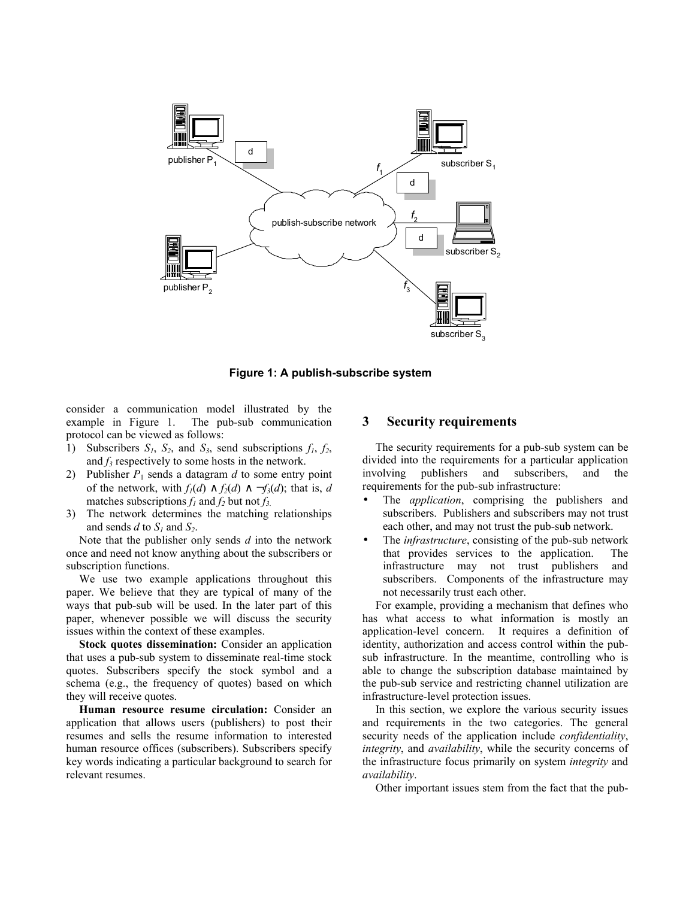

**Figure 1: A publish-subscribe system** 

consider a communication model illustrated by the example in Figure 1. The pub-sub communication protocol can be viewed as follows:

- 1) Subscribers  $S_1$ ,  $S_2$ , and  $S_3$ , send subscriptions  $f_1$ ,  $f_2$ , and  $f_3$  respectively to some hosts in the network.
- 2) Publisher  $P_1$  sends a datagram  $d$  to some entry point of the network, with  $f_1(d) \wedge f_2(d) \wedge \neg f_3(d)$ ; that is, *d* matches subscriptions  $f_1$  and  $f_2$  but not  $f_3$ .
- 3) The network determines the matching relationships and sends  $d$  to  $S_1$  and  $S_2$ .

Note that the publisher only sends *d* into the network once and need not know anything about the subscribers or subscription functions.

We use two example applications throughout this paper. We believe that they are typical of many of the ways that pub-sub will be used. In the later part of this paper, whenever possible we will discuss the security issues within the context of these examples.

**Stock quotes dissemination:** Consider an application that uses a pub-sub system to disseminate real-time stock quotes. Subscribers specify the stock symbol and a schema (e.g., the frequency of quotes) based on which they will receive quotes.

**Human resource resume circulation:** Consider an application that allows users (publishers) to post their resumes and sells the resume information to interested human resource offices (subscribers). Subscribers specify key words indicating a particular background to search for relevant resumes.

#### **3 Security requirements**

The security requirements for a pub-sub system can be divided into the requirements for a particular application involving publishers and subscribers, and the requirements for the pub-sub infrastructure:

- The *application*, comprising the publishers and subscribers. Publishers and subscribers may not trust each other, and may not trust the pub-sub network.
- The *infrastructure*, consisting of the pub-sub network that provides services to the application. The infrastructure may not trust publishers and subscribers. Components of the infrastructure may not necessarily trust each other.

For example, providing a mechanism that defines who has what access to what information is mostly an application-level concern. It requires a definition of identity, authorization and access control within the pubsub infrastructure. In the meantime, controlling who is able to change the subscription database maintained by the pub-sub service and restricting channel utilization are infrastructure-level protection issues.

In this section, we explore the various security issues and requirements in the two categories. The general security needs of the application include *confidentiality*, *integrity*, and *availability*, while the security concerns of the infrastructure focus primarily on system *integrity* and *availability*.

Other important issues stem from the fact that the pub-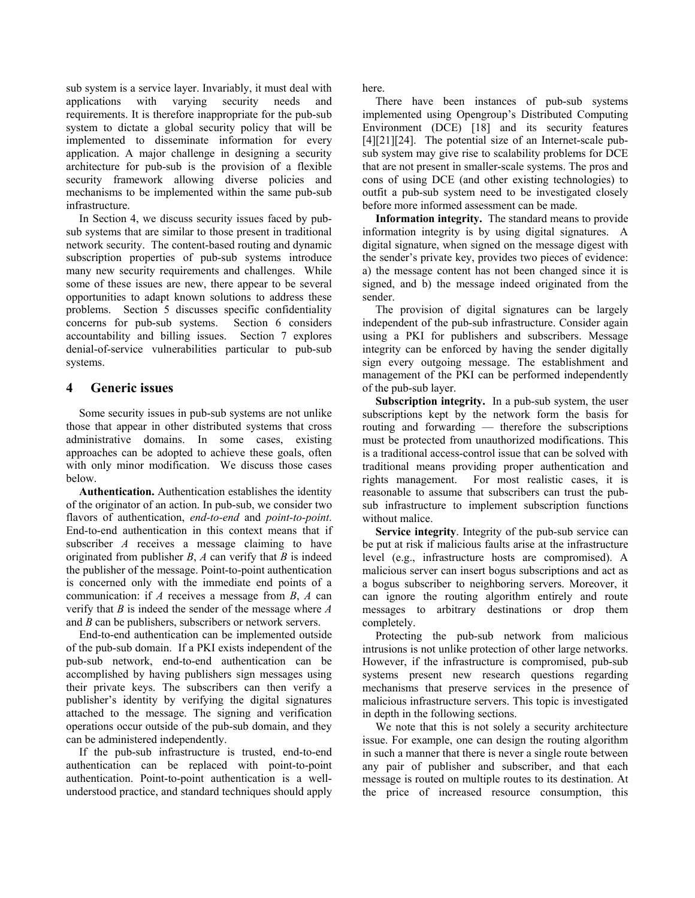sub system is a service layer. Invariably, it must deal with applications with varying security needs and requirements. It is therefore inappropriate for the pub-sub system to dictate a global security policy that will be implemented to disseminate information for every application. A major challenge in designing a security architecture for pub-sub is the provision of a flexible security framework allowing diverse policies and mechanisms to be implemented within the same pub-sub infrastructure.

In Section 4, we discuss security issues faced by pubsub systems that are similar to those present in traditional network security. The content-based routing and dynamic subscription properties of pub-sub systems introduce many new security requirements and challenges. While some of these issues are new, there appear to be several opportunities to adapt known solutions to address these problems. Section 5 discusses specific confidentiality concerns for pub-sub systems. Section 6 considers accountability and billing issues. Section 7 explores denial-of-service vulnerabilities particular to pub-sub systems.

## **4 Generic issues**

Some security issues in pub-sub systems are not unlike those that appear in other distributed systems that cross administrative domains. In some cases, existing approaches can be adopted to achieve these goals, often with only minor modification. We discuss those cases below.

**Authentication.** Authentication establishes the identity of the originator of an action. In pub-sub, we consider two flavors of authentication, *end-to-end* and *point-to-point*. End-to-end authentication in this context means that if subscriber *A* receives a message claiming to have originated from publisher *B*, *A* can verify that *B* is indeed the publisher of the message. Point-to-point authentication is concerned only with the immediate end points of a communication: if *A* receives a message from *B*, *A* can verify that *B* is indeed the sender of the message where *A* and *B* can be publishers, subscribers or network servers.

End-to-end authentication can be implemented outside of the pub-sub domain. If a PKI exists independent of the pub-sub network, end-to-end authentication can be accomplished by having publishers sign messages using their private keys. The subscribers can then verify a publisher's identity by verifying the digital signatures attached to the message. The signing and verification operations occur outside of the pub-sub domain, and they can be administered independently.

If the pub-sub infrastructure is trusted, end-to-end authentication can be replaced with point-to-point authentication. Point-to-point authentication is a wellunderstood practice, and standard techniques should apply here.

There have been instances of pub-sub systems implemented using Opengroup's Distributed Computing Environment (DCE) [18] and its security features [4][21][24]. The potential size of an Internet-scale pubsub system may give rise to scalability problems for DCE that are not present in smaller-scale systems. The pros and cons of using DCE (and other existing technologies) to outfit a pub-sub system need to be investigated closely before more informed assessment can be made.

**Information integrity.** The standard means to provide information integrity is by using digital signatures. A digital signature, when signed on the message digest with the sender's private key, provides two pieces of evidence: a) the message content has not been changed since it is signed, and b) the message indeed originated from the sender.

The provision of digital signatures can be largely independent of the pub-sub infrastructure. Consider again using a PKI for publishers and subscribers. Message integrity can be enforced by having the sender digitally sign every outgoing message. The establishment and management of the PKI can be performed independently of the pub-sub layer.

**Subscription integrity.** In a pub-sub system, the user subscriptions kept by the network form the basis for routing and forwarding — therefore the subscriptions must be protected from unauthorized modifications. This is a traditional access-control issue that can be solved with traditional means providing proper authentication and rights management. For most realistic cases, it is reasonable to assume that subscribers can trust the pubsub infrastructure to implement subscription functions without malice.

**Service integrity**. Integrity of the pub-sub service can be put at risk if malicious faults arise at the infrastructure level (e.g., infrastructure hosts are compromised). A malicious server can insert bogus subscriptions and act as a bogus subscriber to neighboring servers. Moreover, it can ignore the routing algorithm entirely and route messages to arbitrary destinations or drop them completely.

Protecting the pub-sub network from malicious intrusions is not unlike protection of other large networks. However, if the infrastructure is compromised, pub-sub systems present new research questions regarding mechanisms that preserve services in the presence of malicious infrastructure servers. This topic is investigated in depth in the following sections.

We note that this is not solely a security architecture issue. For example, one can design the routing algorithm in such a manner that there is never a single route between any pair of publisher and subscriber, and that each message is routed on multiple routes to its destination. At the price of increased resource consumption, this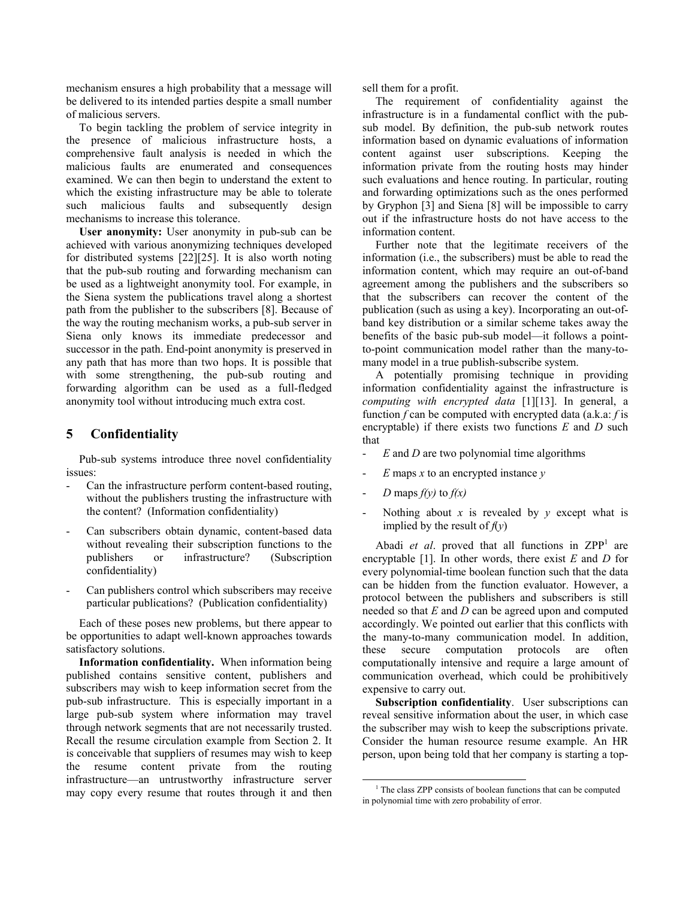mechanism ensures a high probability that a message will be delivered to its intended parties despite a small number of malicious servers.

To begin tackling the problem of service integrity in the presence of malicious infrastructure hosts, a comprehensive fault analysis is needed in which the malicious faults are enumerated and consequences examined. We can then begin to understand the extent to which the existing infrastructure may be able to tolerate such malicious faults and subsequently design mechanisms to increase this tolerance.

**User anonymity:** User anonymity in pub-sub can be achieved with various anonymizing techniques developed for distributed systems [22][25]. It is also worth noting that the pub-sub routing and forwarding mechanism can be used as a lightweight anonymity tool. For example, in the Siena system the publications travel along a shortest path from the publisher to the subscribers [8]. Because of the way the routing mechanism works, a pub-sub server in Siena only knows its immediate predecessor and successor in the path. End-point anonymity is preserved in any path that has more than two hops. It is possible that with some strengthening, the pub-sub routing and forwarding algorithm can be used as a full-fledged anonymity tool without introducing much extra cost.

## **5 Confidentiality**

Pub-sub systems introduce three novel confidentiality issues:

- Can the infrastructure perform content-based routing, without the publishers trusting the infrastructure with the content? (Information confidentiality)
- Can subscribers obtain dynamic, content-based data without revealing their subscription functions to the publishers or infrastructure? (Subscription confidentiality)
- Can publishers control which subscribers may receive particular publications? (Publication confidentiality)

Each of these poses new problems, but there appear to be opportunities to adapt well-known approaches towards satisfactory solutions.

**Information confidentiality.** When information being published contains sensitive content, publishers and subscribers may wish to keep information secret from the pub-sub infrastructure. This is especially important in a large pub-sub system where information may travel through network segments that are not necessarily trusted. Recall the resume circulation example from Section 2. It is conceivable that suppliers of resumes may wish to keep the resume content private from the routing infrastructure—an untrustworthy infrastructure server may copy every resume that routes through it and then sell them for a profit.

The requirement of confidentiality against the infrastructure is in a fundamental conflict with the pubsub model. By definition, the pub-sub network routes information based on dynamic evaluations of information content against user subscriptions. Keeping the information private from the routing hosts may hinder such evaluations and hence routing. In particular, routing and forwarding optimizations such as the ones performed by Gryphon [3] and Siena [8] will be impossible to carry out if the infrastructure hosts do not have access to the information content.

Further note that the legitimate receivers of the information (i.e., the subscribers) must be able to read the information content, which may require an out-of-band agreement among the publishers and the subscribers so that the subscribers can recover the content of the publication (such as using a key). Incorporating an out-ofband key distribution or a similar scheme takes away the benefits of the basic pub-sub model—it follows a pointto-point communication model rather than the many-tomany model in a true publish-subscribe system.

A potentially promising technique in providing information confidentiality against the infrastructure is *computing with encrypted data* [1][13]. In general, a function *f* can be computed with encrypted data (a.k.a: *f* is encryptable) if there exists two functions *E* and *D* such that

- *E* and *D* are two polynomial time algorithms
- *E* maps *x* to an encrypted instance *y*
- *D* maps  $f(y)$  to  $f(x)$
- Nothing about  $x$  is revealed by  $y$  except what is implied by the result of  $f(y)$

Abadi *et al.* proved that all functions in  $ZPP<sup>1</sup>$  are encryptable [1]. In other words, there exist *E* and *D* for every polynomial-time boolean function such that the data can be hidden from the function evaluator. However, a protocol between the publishers and subscribers is still needed so that *E* and *D* can be agreed upon and computed accordingly. We pointed out earlier that this conflicts with the many-to-many communication model. In addition, these secure computation protocols are often computationally intensive and require a large amount of communication overhead, which could be prohibitively expensive to carry out.

**Subscription confidentiality**. User subscriptions can reveal sensitive information about the user, in which case the subscriber may wish to keep the subscriptions private. Consider the human resource resume example. An HR person, upon being told that her company is starting a top-

 $\frac{1}{1}$ <sup>1</sup> The class ZPP consists of boolean functions that can be computed in polynomial time with zero probability of error.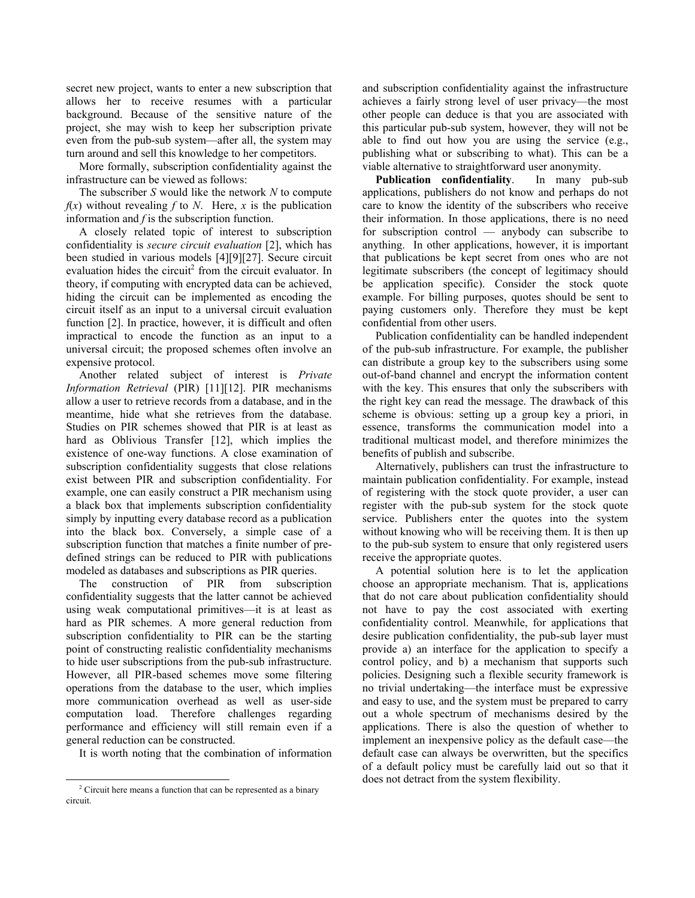secret new project, wants to enter a new subscription that allows her to receive resumes with a particular background. Because of the sensitive nature of the project, she may wish to keep her subscription private even from the pub-sub system—after all, the system may turn around and sell this knowledge to her competitors.

More formally, subscription confidentiality against the infrastructure can be viewed as follows:

The subscriber *S* would like the network *N* to compute  $f(x)$  without revealing  $f$  to  $N$ . Here,  $x$  is the publication information and *f* is the subscription function.

A closely related topic of interest to subscription confidentiality is *secure circuit evaluation* [2], which has been studied in various models [4][9][27]. Secure circuit evaluation hides the circuit $<sup>2</sup>$  from the circuit evaluator. In</sup> theory, if computing with encrypted data can be achieved, hiding the circuit can be implemented as encoding the circuit itself as an input to a universal circuit evaluation function [2]. In practice, however, it is difficult and often impractical to encode the function as an input to a universal circuit; the proposed schemes often involve an expensive protocol.

Another related subject of interest is *Private Information Retrieval* (PIR) [11][12]. PIR mechanisms allow a user to retrieve records from a database, and in the meantime, hide what she retrieves from the database. Studies on PIR schemes showed that PIR is at least as hard as Oblivious Transfer [12], which implies the existence of one-way functions. A close examination of subscription confidentiality suggests that close relations exist between PIR and subscription confidentiality. For example, one can easily construct a PIR mechanism using a black box that implements subscription confidentiality simply by inputting every database record as a publication into the black box. Conversely, a simple case of a subscription function that matches a finite number of predefined strings can be reduced to PIR with publications modeled as databases and subscriptions as PIR queries.

The construction of PIR from subscription confidentiality suggests that the latter cannot be achieved using weak computational primitives—it is at least as hard as PIR schemes. A more general reduction from subscription confidentiality to PIR can be the starting point of constructing realistic confidentiality mechanisms to hide user subscriptions from the pub-sub infrastructure. However, all PIR-based schemes move some filtering operations from the database to the user, which implies more communication overhead as well as user-side computation load. Therefore challenges regarding performance and efficiency will still remain even if a general reduction can be constructed.

It is worth noting that the combination of information

and subscription confidentiality against the infrastructure achieves a fairly strong level of user privacy—the most other people can deduce is that you are associated with this particular pub-sub system, however, they will not be able to find out how you are using the service (e.g., publishing what or subscribing to what). This can be a viable alternative to straightforward user anonymity.

**Publication confidentiality**. In many pub-sub applications, publishers do not know and perhaps do not care to know the identity of the subscribers who receive their information. In those applications, there is no need for subscription control — anybody can subscribe to anything. In other applications, however, it is important that publications be kept secret from ones who are not legitimate subscribers (the concept of legitimacy should be application specific). Consider the stock quote example. For billing purposes, quotes should be sent to paying customers only. Therefore they must be kept confidential from other users.

Publication confidentiality can be handled independent of the pub-sub infrastructure. For example, the publisher can distribute a group key to the subscribers using some out-of-band channel and encrypt the information content with the key. This ensures that only the subscribers with the right key can read the message. The drawback of this scheme is obvious: setting up a group key a priori, in essence, transforms the communication model into a traditional multicast model, and therefore minimizes the benefits of publish and subscribe.

Alternatively, publishers can trust the infrastructure to maintain publication confidentiality. For example, instead of registering with the stock quote provider, a user can register with the pub-sub system for the stock quote service. Publishers enter the quotes into the system without knowing who will be receiving them. It is then up to the pub-sub system to ensure that only registered users receive the appropriate quotes.

A potential solution here is to let the application choose an appropriate mechanism. That is, applications that do not care about publication confidentiality should not have to pay the cost associated with exerting confidentiality control. Meanwhile, for applications that desire publication confidentiality, the pub-sub layer must provide a) an interface for the application to specify a control policy, and b) a mechanism that supports such policies. Designing such a flexible security framework is no trivial undertaking—the interface must be expressive and easy to use, and the system must be prepared to carry out a whole spectrum of mechanisms desired by the applications. There is also the question of whether to implement an inexpensive policy as the default case—the default case can always be overwritten, but the specifics of a default policy must be carefully laid out so that it does not detract from the system flexibility.

 <sup>2</sup> Circuit here means a function that can be represented as a binary circuit.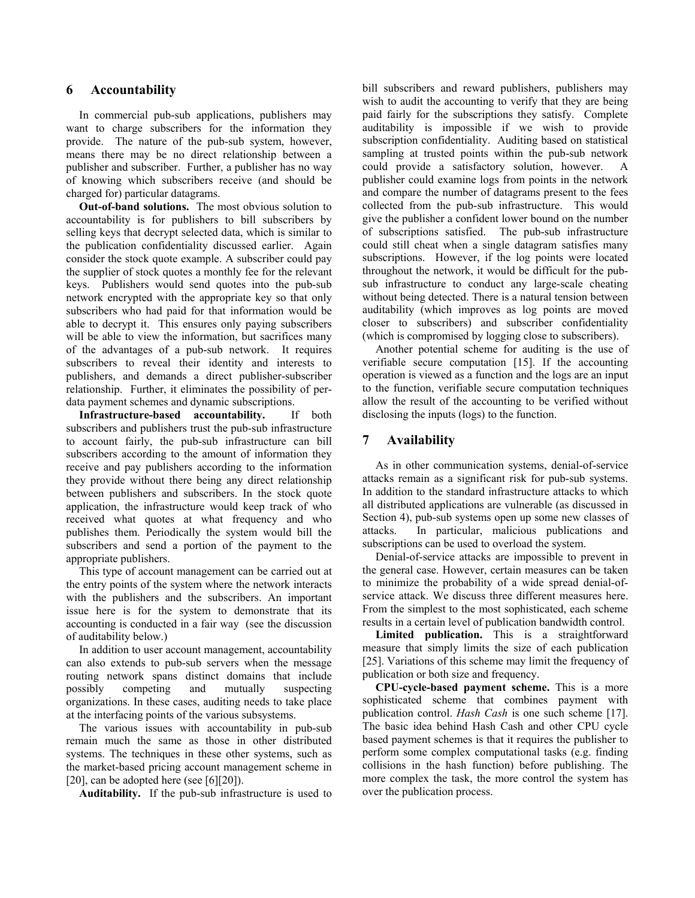## **6 Accountability**

In commercial pub-sub applications, publishers may want to charge subscribers for the information they provide. The nature of the pub-sub system, however, means there may be no direct relationship between a publisher and subscriber. Further, a publisher has no way of knowing which subscribers receive (and should be charged for) particular datagrams.

**Out-of-band solutions.** The most obvious solution to accountability is for publishers to bill subscribers by selling keys that decrypt selected data, which is similar to the publication confidentiality discussed earlier. Again consider the stock quote example. A subscriber could pay the supplier of stock quotes a monthly fee for the relevant keys. Publishers would send quotes into the pub-sub network encrypted with the appropriate key so that only subscribers who had paid for that information would be able to decrypt it. This ensures only paying subscribers will be able to view the information, but sacrifices many of the advantages of a pub-sub network. It requires subscribers to reveal their identity and interests to publishers, and demands a direct publisher-subscriber relationship. Further, it eliminates the possibility of perdata payment schemes and dynamic subscriptions.

**Infrastructure-based accountability.** If both subscribers and publishers trust the pub-sub infrastructure to account fairly, the pub-sub infrastructure can bill subscribers according to the amount of information they receive and pay publishers according to the information they provide without there being any direct relationship between publishers and subscribers. In the stock quote application, the infrastructure would keep track of who received what quotes at what frequency and who publishes them. Periodically the system would bill the subscribers and send a portion of the payment to the appropriate publishers.

This type of account management can be carried out at the entry points of the system where the network interacts with the publishers and the subscribers. An important issue here is for the system to demonstrate that its accounting is conducted in a fair way (see the discussion of auditability below.)

In addition to user account management, accountability can also extends to pub-sub servers when the message routing network spans distinct domains that include possibly competing and mutually suspecting organizations. In these cases, auditing needs to take place at the interfacing points of the various subsystems.

The various issues with accountability in pub-sub remain much the same as those in other distributed systems. The techniques in these other systems, such as the market-based pricing account management scheme in [20], can be adopted here (see [6][20]).

**Auditability.** If the pub-sub infrastructure is used to

bill subscribers and reward publishers, publishers may wish to audit the accounting to verify that they are being paid fairly for the subscriptions they satisfy. Complete auditability is impossible if we wish to provide subscription confidentiality. Auditing based on statistical sampling at trusted points within the pub-sub network could provide a satisfactory solution, however. A publisher could examine logs from points in the network and compare the number of datagrams present to the fees collected from the pub-sub infrastructure. This would give the publisher a confident lower bound on the number of subscriptions satisfied. The pub-sub infrastructure could still cheat when a single datagram satisfies many subscriptions. However, if the log points were located throughout the network, it would be difficult for the pubsub infrastructure to conduct any large-scale cheating without being detected. There is a natural tension between auditability (which improves as log points are moved closer to subscribers) and subscriber confidentiality (which is compromised by logging close to subscribers).

Another potential scheme for auditing is the use of verifiable secure computation [15]. If the accounting operation is viewed as a function and the logs are an input to the function, verifiable secure computation techniques allow the result of the accounting to be verified without disclosing the inputs (logs) to the function.

# **7 Availability**

As in other communication systems, denial-of-service attacks remain as a significant risk for pub-sub systems. In addition to the standard infrastructure attacks to which all distributed applications are vulnerable (as discussed in Section 4), pub-sub systems open up some new classes of attacks. In particular, malicious publications and subscriptions can be used to overload the system.

Denial-of-service attacks are impossible to prevent in the general case. However, certain measures can be taken to minimize the probability of a wide spread denial-ofservice attack. We discuss three different measures here. From the simplest to the most sophisticated, each scheme results in a certain level of publication bandwidth control.

**Limited publication.** This is a straightforward measure that simply limits the size of each publication [25]. Variations of this scheme may limit the frequency of publication or both size and frequency.

**CPU-cycle-based payment scheme.** This is a more sophisticated scheme that combines payment with publication control. *Hash Cash* is one such scheme [17]. The basic idea behind Hash Cash and other CPU cycle based payment schemes is that it requires the publisher to perform some complex computational tasks (e.g. finding collisions in the hash function) before publishing. The more complex the task, the more control the system has over the publication process.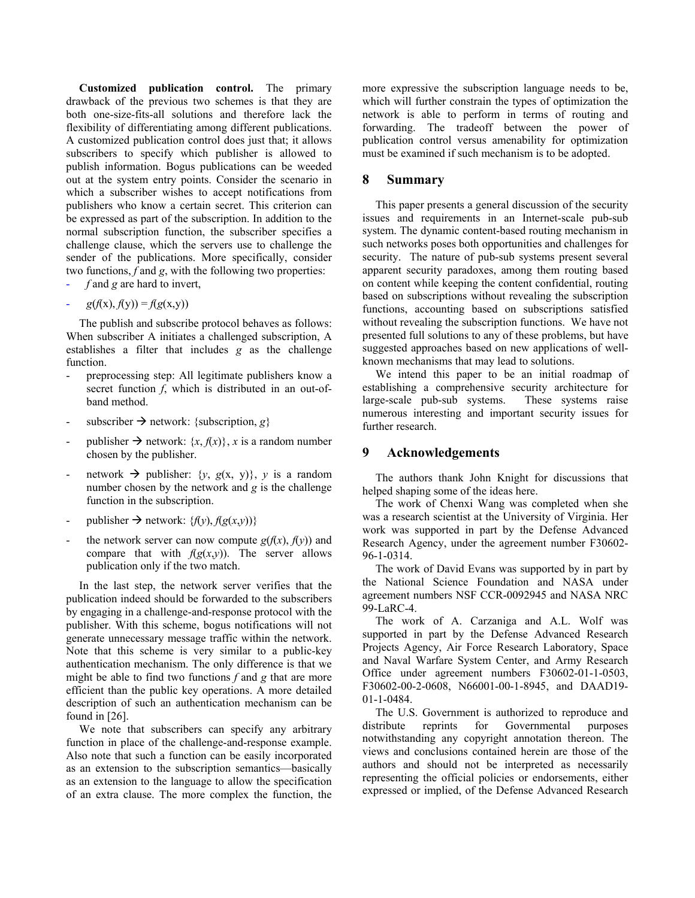**Customized publication control.** The primary drawback of the previous two schemes is that they are both one-size-fits-all solutions and therefore lack the flexibility of differentiating among different publications. A customized publication control does just that; it allows subscribers to specify which publisher is allowed to publish information. Bogus publications can be weeded out at the system entry points. Consider the scenario in which a subscriber wishes to accept notifications from publishers who know a certain secret. This criterion can be expressed as part of the subscription. In addition to the normal subscription function, the subscriber specifies a challenge clause, which the servers use to challenge the sender of the publications. More specifically, consider two functions, *f* and *g*, with the following two properties:

- *f* and *g* are hard to invert,
- $g(f(x), f(y)) = f(g(x,y))$

The publish and subscribe protocol behaves as follows: When subscriber A initiates a challenged subscription, A establishes a filter that includes *g* as the challenge function.

- preprocessing step: All legitimate publishers know a secret function *f*, which is distributed in an out-ofband method.
- subscriber  $\rightarrow$  network: {subscription, *g*}
- publisher  $\rightarrow$  network:  $\{x, f(x)\}\$ , *x* is a random number chosen by the publisher.
- network  $\rightarrow$  publisher: {*y*, *g*(x, *y*)}, *y* is a random number chosen by the network and *g* is the challenge function in the subscription.
- $public \rightarrow network: \{f(y), f(g(x,y))\}$
- the network server can now compute  $g(f(x), f(y))$  and compare that with  $f(g(x,y))$ . The server allows publication only if the two match.

In the last step, the network server verifies that the publication indeed should be forwarded to the subscribers by engaging in a challenge-and-response protocol with the publisher. With this scheme, bogus notifications will not generate unnecessary message traffic within the network. Note that this scheme is very similar to a public-key authentication mechanism. The only difference is that we might be able to find two functions *f* and *g* that are more efficient than the public key operations. A more detailed description of such an authentication mechanism can be found in [26].

We note that subscribers can specify any arbitrary function in place of the challenge-and-response example. Also note that such a function can be easily incorporated as an extension to the subscription semantics—basically as an extension to the language to allow the specification of an extra clause. The more complex the function, the more expressive the subscription language needs to be, which will further constrain the types of optimization the network is able to perform in terms of routing and forwarding. The tradeoff between the power of publication control versus amenability for optimization must be examined if such mechanism is to be adopted.

#### **8 Summary**

This paper presents a general discussion of the security issues and requirements in an Internet-scale pub-sub system. The dynamic content-based routing mechanism in such networks poses both opportunities and challenges for security. The nature of pub-sub systems present several apparent security paradoxes, among them routing based on content while keeping the content confidential, routing based on subscriptions without revealing the subscription functions, accounting based on subscriptions satisfied without revealing the subscription functions. We have not presented full solutions to any of these problems, but have suggested approaches based on new applications of wellknown mechanisms that may lead to solutions.

We intend this paper to be an initial roadmap of establishing a comprehensive security architecture for large-scale pub-sub systems. These systems raise numerous interesting and important security issues for further research.

#### **9 Acknowledgements**

The authors thank John Knight for discussions that helped shaping some of the ideas here.

The work of Chenxi Wang was completed when she was a research scientist at the University of Virginia. Her work was supported in part by the Defense Advanced Research Agency, under the agreement number F30602- 96-1-0314.

The work of David Evans was supported by in part by the National Science Foundation and NASA under agreement numbers NSF CCR-0092945 and NASA NRC 99-LaRC-4.

The work of A. Carzaniga and A.L. Wolf was supported in part by the Defense Advanced Research Projects Agency, Air Force Research Laboratory, Space and Naval Warfare System Center, and Army Research Office under agreement numbers F30602-01-1-0503, F30602-00-2-0608, N66001-00-1-8945, and DAAD19- 01-1-0484.

The U.S. Government is authorized to reproduce and distribute reprints for Governmental purposes notwithstanding any copyright annotation thereon. The views and conclusions contained herein are those of the authors and should not be interpreted as necessarily representing the official policies or endorsements, either expressed or implied, of the Defense Advanced Research